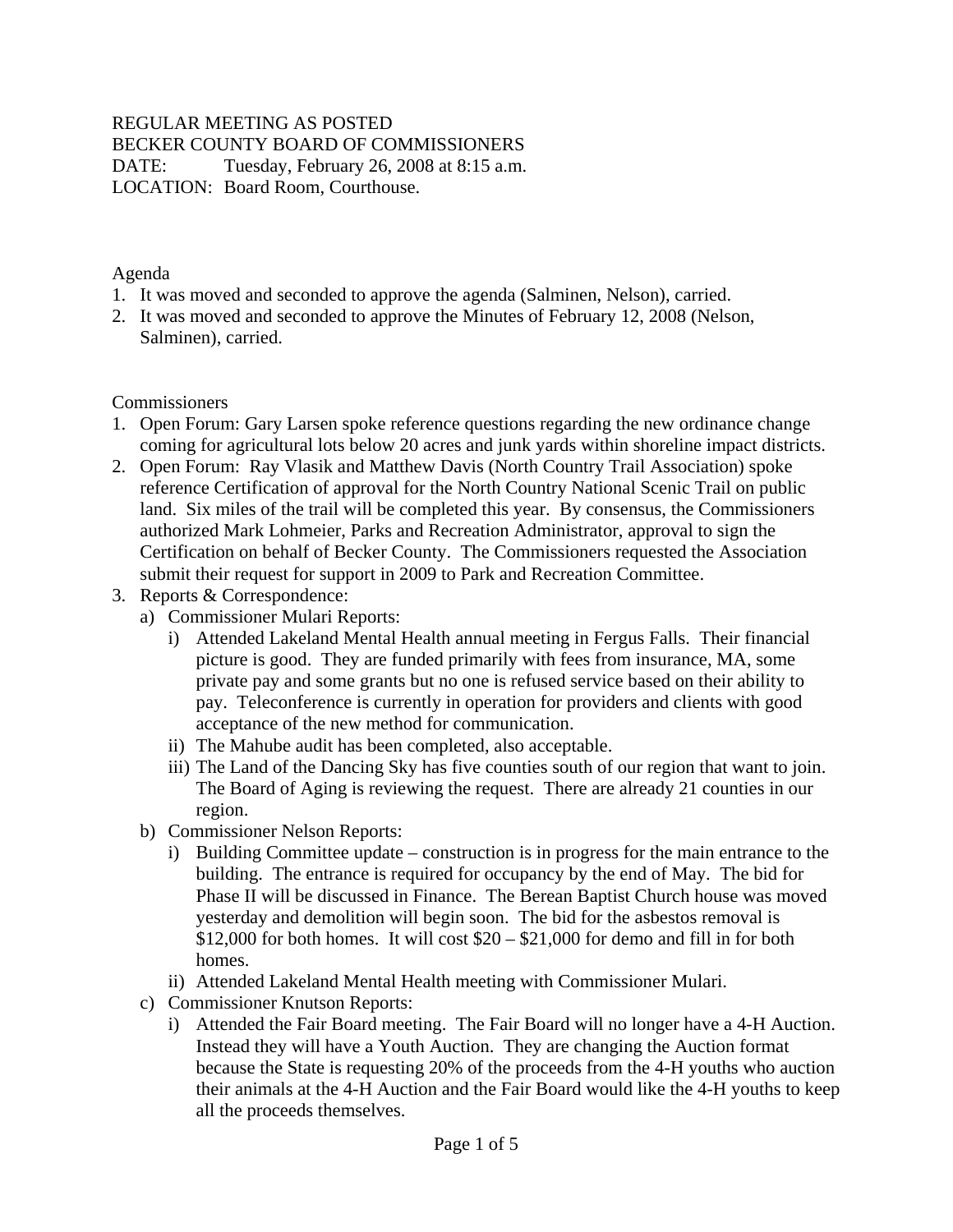#### REGULAR MEETING AS POSTED BECKER COUNTY BOARD OF COMMISSIONERS DATE: Tuesday, February 26, 2008 at 8:15 a.m. LOCATION: Board Room, Courthouse.

Agenda

- 1. It was moved and seconded to approve the agenda (Salminen, Nelson), carried.
- 2. It was moved and seconded to approve the Minutes of February 12, 2008 (Nelson, Salminen), carried.

#### **Commissioners**

- 1. Open Forum: Gary Larsen spoke reference questions regarding the new ordinance change coming for agricultural lots below 20 acres and junk yards within shoreline impact districts.
- 2. Open Forum: Ray Vlasik and Matthew Davis (North Country Trail Association) spoke reference Certification of approval for the North Country National Scenic Trail on public land. Six miles of the trail will be completed this year. By consensus, the Commissioners authorized Mark Lohmeier, Parks and Recreation Administrator, approval to sign the Certification on behalf of Becker County. The Commissioners requested the Association submit their request for support in 2009 to Park and Recreation Committee.
- 3. Reports & Correspondence:
	- a) Commissioner Mulari Reports:
		- i) Attended Lakeland Mental Health annual meeting in Fergus Falls. Their financial picture is good. They are funded primarily with fees from insurance, MA, some private pay and some grants but no one is refused service based on their ability to pay. Teleconference is currently in operation for providers and clients with good acceptance of the new method for communication.
		- ii) The Mahube audit has been completed, also acceptable.
		- iii) The Land of the Dancing Sky has five counties south of our region that want to join. The Board of Aging is reviewing the request. There are already 21 counties in our region.
	- b) Commissioner Nelson Reports:
		- i) Building Committee update construction is in progress for the main entrance to the building. The entrance is required for occupancy by the end of May. The bid for Phase II will be discussed in Finance. The Berean Baptist Church house was moved yesterday and demolition will begin soon. The bid for the asbestos removal is  $$12,000$  for both homes. It will cost  $$20 - $21,000$  for demo and fill in for both homes.
		- ii) Attended Lakeland Mental Health meeting with Commissioner Mulari.
	- c) Commissioner Knutson Reports:
		- i) Attended the Fair Board meeting. The Fair Board will no longer have a 4-H Auction. Instead they will have a Youth Auction. They are changing the Auction format because the State is requesting 20% of the proceeds from the 4-H youths who auction their animals at the 4-H Auction and the Fair Board would like the 4-H youths to keep all the proceeds themselves.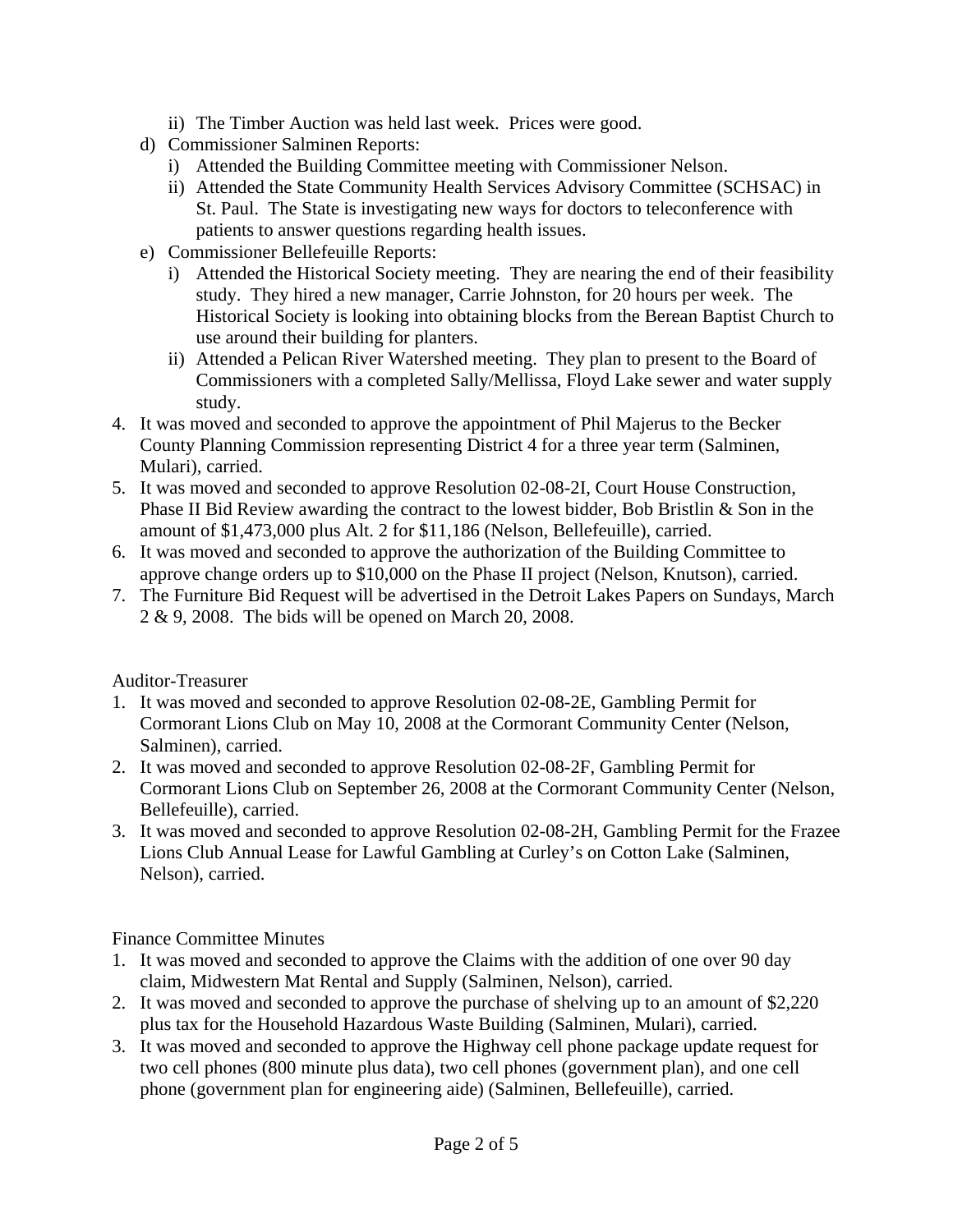- ii) The Timber Auction was held last week. Prices were good.
- d) Commissioner Salminen Reports:
	- i) Attended the Building Committee meeting with Commissioner Nelson.
	- ii) Attended the State Community Health Services Advisory Committee (SCHSAC) in St. Paul. The State is investigating new ways for doctors to teleconference with patients to answer questions regarding health issues.
- e) Commissioner Bellefeuille Reports:
	- i) Attended the Historical Society meeting. They are nearing the end of their feasibility study. They hired a new manager, Carrie Johnston, for 20 hours per week. The Historical Society is looking into obtaining blocks from the Berean Baptist Church to use around their building for planters.
	- ii) Attended a Pelican River Watershed meeting. They plan to present to the Board of Commissioners with a completed Sally/Mellissa, Floyd Lake sewer and water supply study.
- 4. It was moved and seconded to approve the appointment of Phil Majerus to the Becker County Planning Commission representing District 4 for a three year term (Salminen, Mulari), carried.
- 5. It was moved and seconded to approve Resolution 02-08-2I, Court House Construction, Phase II Bid Review awarding the contract to the lowest bidder, Bob Bristlin & Son in the amount of \$1,473,000 plus Alt. 2 for \$11,186 (Nelson, Bellefeuille), carried.
- 6. It was moved and seconded to approve the authorization of the Building Committee to approve change orders up to \$10,000 on the Phase II project (Nelson, Knutson), carried.
- 7. The Furniture Bid Request will be advertised in the Detroit Lakes Papers on Sundays, March 2 & 9, 2008. The bids will be opened on March 20, 2008.

#### Auditor-Treasurer

- 1. It was moved and seconded to approve Resolution 02-08-2E, Gambling Permit for Cormorant Lions Club on May 10, 2008 at the Cormorant Community Center (Nelson, Salminen), carried.
- 2. It was moved and seconded to approve Resolution 02-08-2F, Gambling Permit for Cormorant Lions Club on September 26, 2008 at the Cormorant Community Center (Nelson, Bellefeuille), carried.
- 3. It was moved and seconded to approve Resolution 02-08-2H, Gambling Permit for the Frazee Lions Club Annual Lease for Lawful Gambling at Curley's on Cotton Lake (Salminen, Nelson), carried.

Finance Committee Minutes

- 1. It was moved and seconded to approve the Claims with the addition of one over 90 day claim, Midwestern Mat Rental and Supply (Salminen, Nelson), carried.
- 2. It was moved and seconded to approve the purchase of shelving up to an amount of \$2,220 plus tax for the Household Hazardous Waste Building (Salminen, Mulari), carried.
- 3. It was moved and seconded to approve the Highway cell phone package update request for two cell phones (800 minute plus data), two cell phones (government plan), and one cell phone (government plan for engineering aide) (Salminen, Bellefeuille), carried.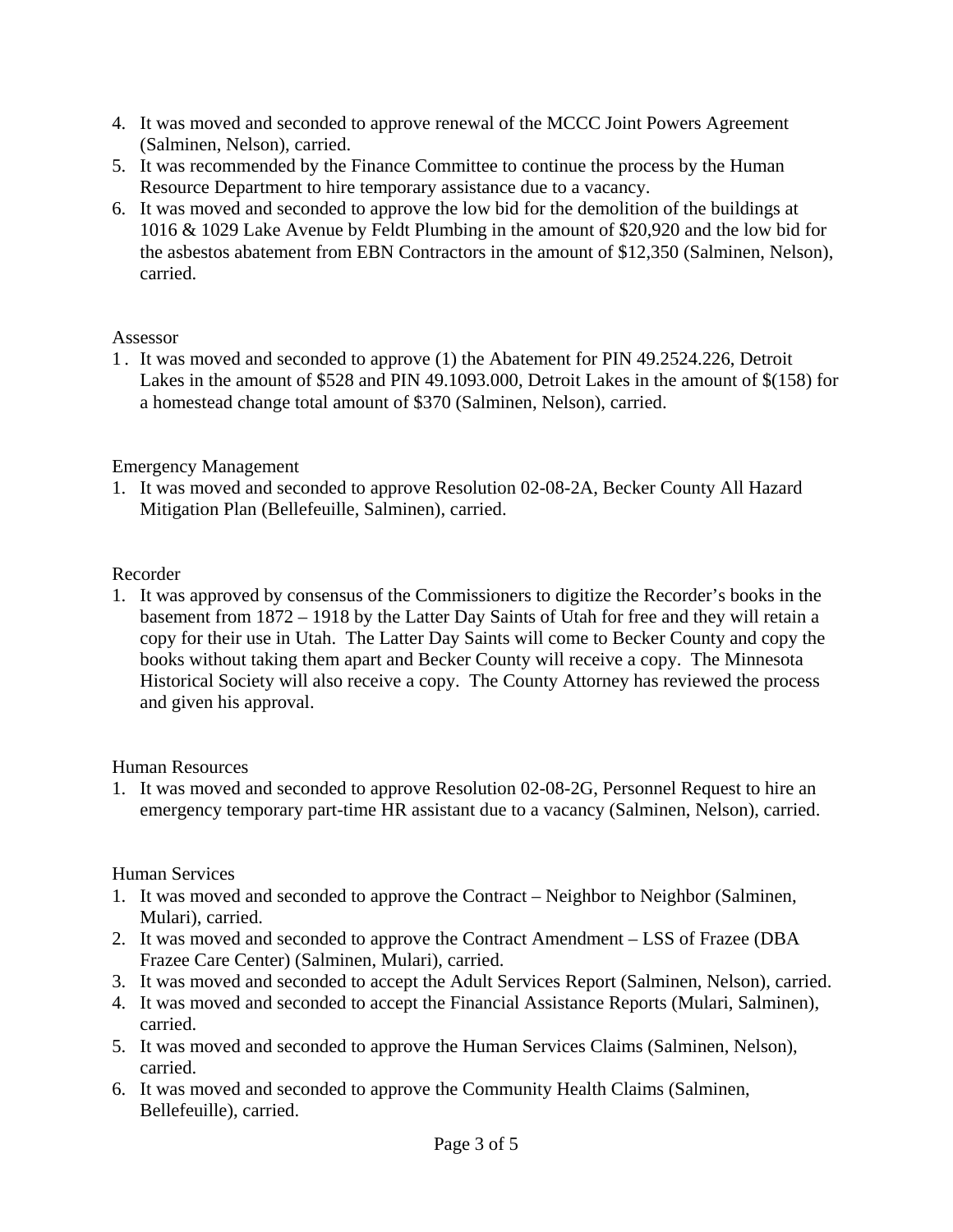- 4. It was moved and seconded to approve renewal of the MCCC Joint Powers Agreement (Salminen, Nelson), carried.
- 5. It was recommended by the Finance Committee to continue the process by the Human Resource Department to hire temporary assistance due to a vacancy.
- 6. It was moved and seconded to approve the low bid for the demolition of the buildings at 1016 & 1029 Lake Avenue by Feldt Plumbing in the amount of \$20,920 and the low bid for the asbestos abatement from EBN Contractors in the amount of \$12,350 (Salminen, Nelson), carried.

#### Assessor

1 . It was moved and seconded to approve (1) the Abatement for PIN 49.2524.226, Detroit Lakes in the amount of \$528 and PIN 49.1093.000, Detroit Lakes in the amount of \$(158) for a homestead change total amount of \$370 (Salminen, Nelson), carried.

# Emergency Management

1. It was moved and seconded to approve Resolution 02-08-2A, Becker County All Hazard Mitigation Plan (Bellefeuille, Salminen), carried.

# Recorder

1. It was approved by consensus of the Commissioners to digitize the Recorder's books in the basement from 1872 – 1918 by the Latter Day Saints of Utah for free and they will retain a copy for their use in Utah. The Latter Day Saints will come to Becker County and copy the books without taking them apart and Becker County will receive a copy. The Minnesota Historical Society will also receive a copy. The County Attorney has reviewed the process and given his approval.

# Human Resources

1. It was moved and seconded to approve Resolution 02-08-2G, Personnel Request to hire an emergency temporary part-time HR assistant due to a vacancy (Salminen, Nelson), carried.

# Human Services

- 1. It was moved and seconded to approve the Contract Neighbor to Neighbor (Salminen, Mulari), carried.
- 2. It was moved and seconded to approve the Contract Amendment LSS of Frazee (DBA Frazee Care Center) (Salminen, Mulari), carried.
- 3. It was moved and seconded to accept the Adult Services Report (Salminen, Nelson), carried.
- 4. It was moved and seconded to accept the Financial Assistance Reports (Mulari, Salminen), carried.
- 5. It was moved and seconded to approve the Human Services Claims (Salminen, Nelson), carried.
- 6. It was moved and seconded to approve the Community Health Claims (Salminen, Bellefeuille), carried.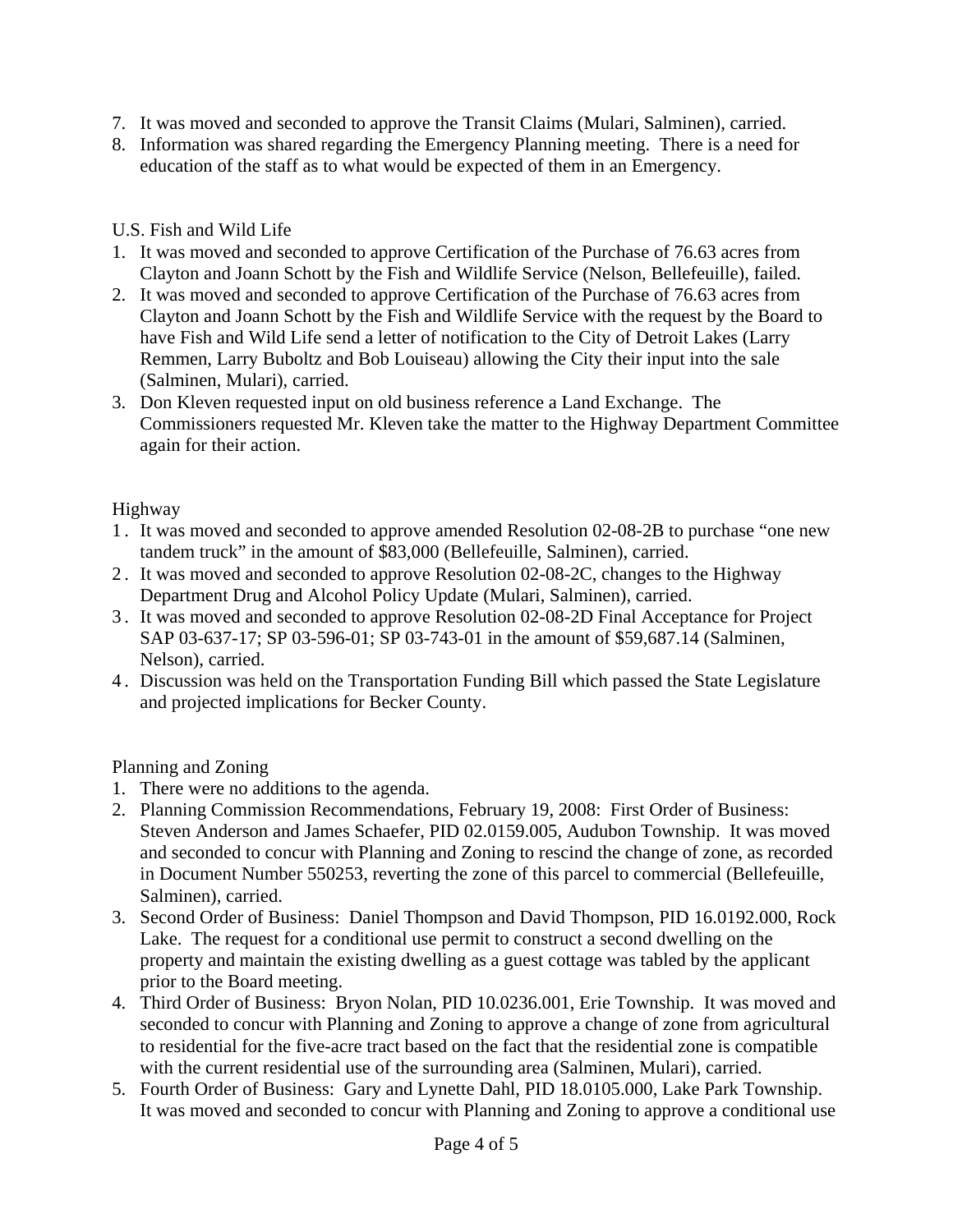- 7. It was moved and seconded to approve the Transit Claims (Mulari, Salminen), carried.
- 8. Information was shared regarding the Emergency Planning meeting. There is a need for education of the staff as to what would be expected of them in an Emergency.

### U.S. Fish and Wild Life

- 1. It was moved and seconded to approve Certification of the Purchase of 76.63 acres from Clayton and Joann Schott by the Fish and Wildlife Service (Nelson, Bellefeuille), failed.
- 2. It was moved and seconded to approve Certification of the Purchase of 76.63 acres from Clayton and Joann Schott by the Fish and Wildlife Service with the request by the Board to have Fish and Wild Life send a letter of notification to the City of Detroit Lakes (Larry Remmen, Larry Buboltz and Bob Louiseau) allowing the City their input into the sale (Salminen, Mulari), carried.
- 3. Don Kleven requested input on old business reference a Land Exchange. The Commissioners requested Mr. Kleven take the matter to the Highway Department Committee again for their action.

### Highway

- 1 . It was moved and seconded to approve amended Resolution 02-08-2B to purchase "one new tandem truck" in the amount of \$83,000 (Bellefeuille, Salminen), carried.
- 2 . It was moved and seconded to approve Resolution 02-08-2C, changes to the Highway Department Drug and Alcohol Policy Update (Mulari, Salminen), carried.
- 3 . It was moved and seconded to approve Resolution 02-08-2D Final Acceptance for Project SAP 03-637-17; SP 03-596-01; SP 03-743-01 in the amount of \$59,687.14 (Salminen, Nelson), carried.
- 4 . Discussion was held on the Transportation Funding Bill which passed the State Legislature and projected implications for Becker County.

Planning and Zoning

- 1. There were no additions to the agenda.
- 2. Planning Commission Recommendations, February 19, 2008: First Order of Business: Steven Anderson and James Schaefer, PID 02.0159.005, Audubon Township. It was moved and seconded to concur with Planning and Zoning to rescind the change of zone, as recorded in Document Number 550253, reverting the zone of this parcel to commercial (Bellefeuille, Salminen), carried.
- 3. Second Order of Business: Daniel Thompson and David Thompson, PID 16.0192.000, Rock Lake. The request for a conditional use permit to construct a second dwelling on the property and maintain the existing dwelling as a guest cottage was tabled by the applicant prior to the Board meeting.
- 4. Third Order of Business: Bryon Nolan, PID 10.0236.001, Erie Township. It was moved and seconded to concur with Planning and Zoning to approve a change of zone from agricultural to residential for the five-acre tract based on the fact that the residential zone is compatible with the current residential use of the surrounding area (Salminen, Mulari), carried.
- 5. Fourth Order of Business: Gary and Lynette Dahl, PID 18.0105.000, Lake Park Township. It was moved and seconded to concur with Planning and Zoning to approve a conditional use